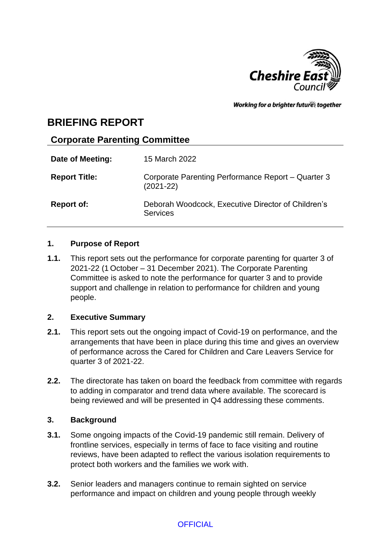

Working for a brighter futures together

# **BRIEFING REPORT**

## **Corporate Parenting Committee**

| Date of Meeting:     | 15 March 2022                                                         |
|----------------------|-----------------------------------------------------------------------|
| <b>Report Title:</b> | Corporate Parenting Performance Report - Quarter 3<br>$(2021 - 22)$   |
| <b>Report of:</b>    | Deborah Woodcock, Executive Director of Children's<br><b>Services</b> |

### **1. Purpose of Report**

**1.1.** This report sets out the performance for corporate parenting for quarter 3 of 2021-22 (1 October – 31 December 2021). The Corporate Parenting Committee is asked to note the performance for quarter 3 and to provide support and challenge in relation to performance for children and young people.

### **2. Executive Summary**

- **2.1.** This report sets out the ongoing impact of Covid-19 on performance, and the arrangements that have been in place during this time and gives an overview of performance across the Cared for Children and Care Leavers Service for quarter 3 of 2021-22.
- **2.2.** The directorate has taken on board the feedback from committee with regards to adding in comparator and trend data where available. The scorecard is being reviewed and will be presented in Q4 addressing these comments.

### **3. Background**

- **3.1.** Some ongoing impacts of the Covid-19 pandemic still remain. Delivery of frontline services, especially in terms of face to face visiting and routine reviews, have been adapted to reflect the various isolation requirements to protect both workers and the families we work with.
- **3.2.** Senior leaders and managers continue to remain sighted on service performance and impact on children and young people through weekly

## **OFFICIAL**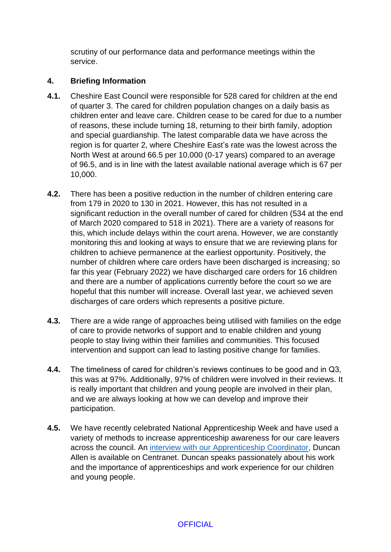scrutiny of our performance data and performance meetings within the service.

### **4. Briefing Information**

- **4.1.** Cheshire East Council were responsible for 528 cared for children at the end of quarter 3. The cared for children population changes on a daily basis as children enter and leave care. Children cease to be cared for due to a number of reasons, these include turning 18, returning to their birth family, adoption and special guardianship. The latest comparable data we have across the region is for quarter 2, where Cheshire East's rate was the lowest across the North West at around 66.5 per 10,000 (0-17 years) compared to an average of 96.5, and is in line with the latest available national average which is 67 per 10,000.
- **4.2.** There has been a positive reduction in the number of children entering care from 179 in 2020 to 130 in 2021. However, this has not resulted in a significant reduction in the overall number of cared for children (534 at the end of March 2020 compared to 518 in 2021). There are a variety of reasons for this, which include delays within the court arena. However, we are constantly monitoring this and looking at ways to ensure that we are reviewing plans for children to achieve permanence at the earliest opportunity. Positively, the number of children where care orders have been discharged is increasing; so far this year (February 2022) we have discharged care orders for 16 children and there are a number of applications currently before the court so we are hopeful that this number will increase. Overall last year, we achieved seven discharges of care orders which represents a positive picture.
- **4.3.** There are a wide range of approaches being utilised with families on the edge of care to provide networks of support and to enable children and young people to stay living within their families and communities. This focused intervention and support can lead to lasting positive change for families.
- **4.4.** The timeliness of cared for children's reviews continues to be good and in Q3, this was at 97%. Additionally, 97% of children were involved in their reviews. It is really important that children and young people are involved in their plan, and we are always looking at how we can develop and improve their participation.
- **4.5.** We have recently celebrated National Apprenticeship Week and have used a variety of methods to increase apprenticeship awareness for our care leavers across the council. An [interview with our Apprenticeship Coordinator,](https://centranet.cheshireeast.gov.uk/news/2022/february/national-apprentice-week-video-interview-with-duncan-allen.aspx?result=successful#comment) Duncan Allen is available on Centranet. Duncan speaks passionately about his work and the importance of apprenticeships and work experience for our children and young people.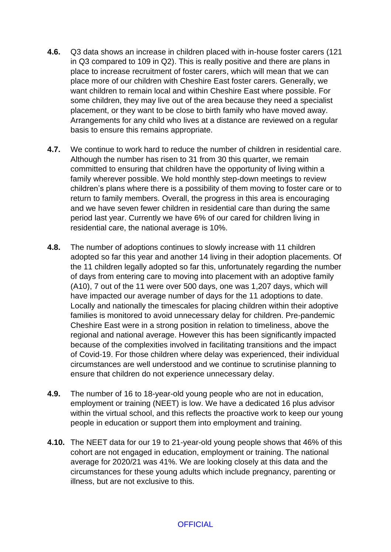- **4.6.** Q3 data shows an increase in children placed with in-house foster carers (121 in Q3 compared to 109 in Q2). This is really positive and there are plans in place to increase recruitment of foster carers, which will mean that we can place more of our children with Cheshire East foster carers. Generally, we want children to remain local and within Cheshire East where possible. For some children, they may live out of the area because they need a specialist placement, or they want to be close to birth family who have moved away. Arrangements for any child who lives at a distance are reviewed on a regular basis to ensure this remains appropriate.
- **4.7.** We continue to work hard to reduce the number of children in residential care. Although the number has risen to 31 from 30 this quarter, we remain committed to ensuring that children have the opportunity of living within a family wherever possible. We hold monthly step-down meetings to review children's plans where there is a possibility of them moving to foster care or to return to family members. Overall, the progress in this area is encouraging and we have seven fewer children in residential care than during the same period last year. Currently we have 6% of our cared for children living in residential care, the national average is 10%.
- **4.8.** The number of adoptions continues to slowly increase with 11 children adopted so far this year and another 14 living in their adoption placements. Of the 11 children legally adopted so far this, unfortunately regarding the number of days from entering care to moving into placement with an adoptive family (A10), 7 out of the 11 were over 500 days, one was 1,207 days, which will have impacted our average number of days for the 11 adoptions to date. Locally and nationally the timescales for placing children within their adoptive families is monitored to avoid unnecessary delay for children. Pre-pandemic Cheshire East were in a strong position in relation to timeliness, above the regional and national average. However this has been significantly impacted because of the complexities involved in facilitating transitions and the impact of Covid-19. For those children where delay was experienced, their individual circumstances are well understood and we continue to scrutinise planning to ensure that children do not experience unnecessary delay.
- **4.9.** The number of 16 to 18-year-old young people who are not in education, employment or training (NEET) is low. We have a dedicated 16 plus advisor within the virtual school, and this reflects the proactive work to keep our young people in education or support them into employment and training.
- **4.10.** The NEET data for our 19 to 21-year-old young people shows that 46% of this cohort are not engaged in education, employment or training. The national average for 2020/21 was 41%. We are looking closely at this data and the circumstances for these young adults which include pregnancy, parenting or illness, but are not exclusive to this.

#### **OFFICIAL**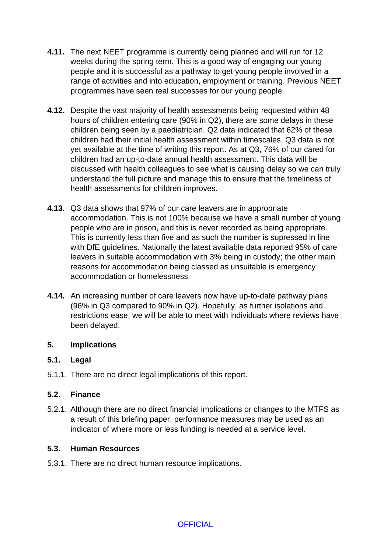- **4.11.** The next NEET programme is currently being planned and will run for 12 weeks during the spring term. This is a good way of engaging our young people and it is successful as a pathway to get young people involved in a range of activities and into education, employment or training. Previous NEET programmes have seen real successes for our young people.
- **4.12.** Despite the vast majority of health assessments being requested within 48 hours of children entering care (90% in Q2), there are some delays in these children being seen by a paediatrician. Q2 data indicated that 62% of these children had their initial health assessment within timescales, Q3 data is not yet available at the time of writing this report. As at Q3, 76% of our cared for children had an up-to-date annual health assessment. This data will be discussed with health colleagues to see what is causing delay so we can truly understand the full picture and manage this to ensure that the timeliness of health assessments for children improves.
- **4.13.** Q3 data shows that 97% of our care leavers are in appropriate accommodation. This is not 100% because we have a small number of young people who are in prison, and this is never recorded as being appropriate. This is currently less than five and as such the number is supressed in line with DfE guidelines. Nationally the latest available data reported 95% of care leavers in suitable accommodation with 3% being in custody; the other main reasons for accommodation being classed as unsuitable is emergency accommodation or homelessness.
- **4.14.** An increasing number of care leavers now have up-to-date pathway plans (96% in Q3 compared to 90% in Q2). Hopefully, as further isolations and restrictions ease, we will be able to meet with individuals where reviews have been delayed.

### **5. Implications**

### **5.1. Legal**

5.1.1. There are no direct legal implications of this report.

### **5.2. Finance**

5.2.1. Although there are no direct financial implications or changes to the MTFS as a result of this briefing paper, performance measures may be used as an indicator of where more or less funding is needed at a service level.

### **5.3. Human Resources**

5.3.1. There are no direct human resource implications.